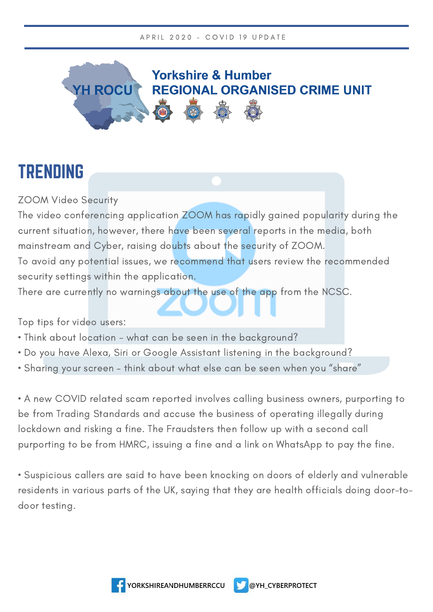

## TRENDING

ZOOM Video Security

The video conferencing application ZOOM has rapidly gained popularity during the current situation, however, there have been several reports in the media, both mainstream and Cyber, raising doubts about the security of ZOOM. To avoid any potential issues, we recommend that users review the recommended

security settings within the application.

There are currently no warnings about the use of the app from the NCSC.

Top tips for video users:

- Think about location what can be seen in the background?
- Do you have Alexa, Siri or Google Assistant listening in the background?
- Sharing your screen think about what else can be seen when you "share"

• A new COVID related scam reported involves calling business owners, purporting to be from Trading Standards and accuse the business of operating illegally during lockdown and risking a fine. The Fraudsters then follow up with a second call purporting to be from HMRC, issuing a fine and a link on WhatsApp to pay the fine.

• Suspicious callers are said to have been knocking on doors of elderly and vulnerable residents in various parts of the UK, saying that they are health officials doing door-todoor testing.